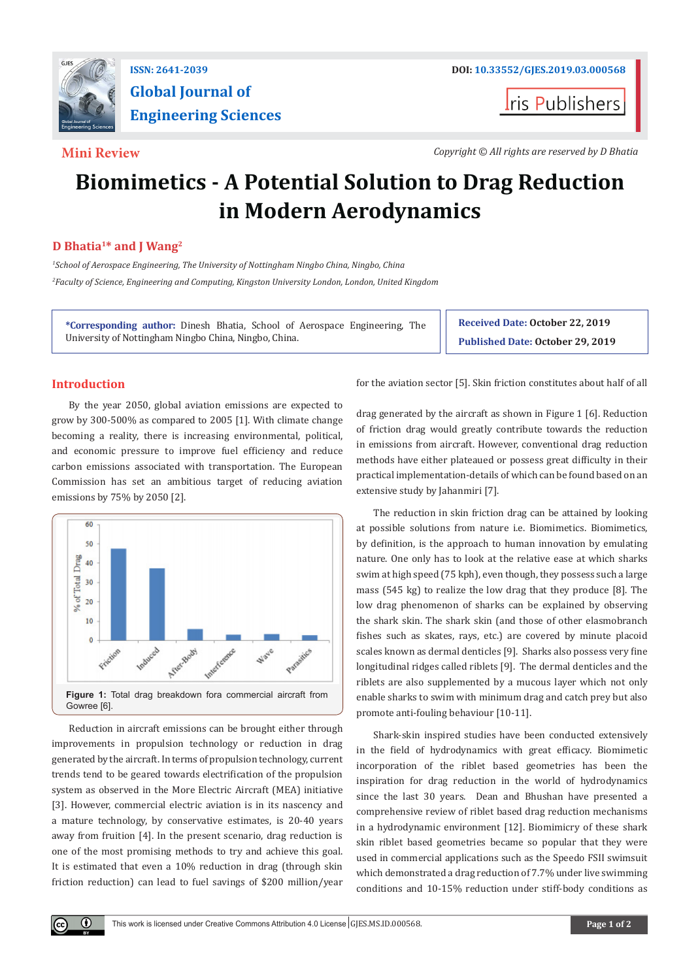

# **Global Journal of Engineering Sciences**

**ris Publishers** 

**Mini Review** *Copyright © All rights are reserved by D Bhatia*

## **Biomimetics - A Potential Solution to Drag Reduction in Modern Aerodynamics**

### **D Bhatia1\* and J Wang2**

*1 School of Aerospace Engineering, The University of Nottingham Ningbo China, Ningbo, China 2 Faculty of Science, Engineering and Computing, Kingston University London, London, United Kingdom*

**\*Corresponding author:** Dinesh Bhatia, School of Aerospace Engineering, The University of Nottingham Ningbo China, Ningbo, China.

**Received Date: October 22, 2019 Published Date: October 29, 2019**

### **Introduction**

 $\bf \Theta$ 

By the year 2050, global aviation emissions are expected to grow by 300-500% as compared to 2005 [1]. With climate change becoming a reality, there is increasing environmental, political, and economic pressure to improve fuel efficiency and reduce carbon emissions associated with transportation. The European Commission has set an ambitious target of reducing aviation emissions by 75% by 2050 [2].



Reduction in aircraft emissions can be brought either through improvements in propulsion technology or reduction in drag generated by the aircraft. In terms of propulsion technology, current trends tend to be geared towards electrification of the propulsion system as observed in the More Electric Aircraft (MEA) initiative [3]. However, commercial electric aviation is in its nascency and a mature technology, by conservative estimates, is 20-40 years away from fruition [4]. In the present scenario, drag reduction is one of the most promising methods to try and achieve this goal. It is estimated that even a 10% reduction in drag (through skin friction reduction) can lead to fuel savings of \$200 million/year

for the aviation sector [5]. Skin friction constitutes about half of all

drag generated by the aircraft as shown in Figure 1 [6]. Reduction of friction drag would greatly contribute towards the reduction in emissions from aircraft. However, conventional drag reduction methods have either plateaued or possess great difficulty in their practical implementation-details of which can be found based on an extensive study by Jahanmiri [7].

The reduction in skin friction drag can be attained by looking at possible solutions from nature i.e. Biomimetics. Biomimetics, by definition, is the approach to human innovation by emulating nature. One only has to look at the relative ease at which sharks swim at high speed (75 kph), even though, they possess such a large mass (545 kg) to realize the low drag that they produce [8]. The low drag phenomenon of sharks can be explained by observing the shark skin. The shark skin (and those of other elasmobranch fishes such as skates, rays, etc.) are covered by minute placoid scales known as dermal denticles [9]. Sharks also possess very fine longitudinal ridges called riblets [9]. The dermal denticles and the riblets are also supplemented by a mucous layer which not only enable sharks to swim with minimum drag and catch prey but also promote anti-fouling behaviour [10-11].

Shark-skin inspired studies have been conducted extensively in the field of hydrodynamics with great efficacy. Biomimetic incorporation of the riblet based geometries has been the inspiration for drag reduction in the world of hydrodynamics since the last 30 years. Dean and Bhushan have presented a comprehensive review of riblet based drag reduction mechanisms in a hydrodynamic environment [12]. Biomimicry of these shark skin riblet based geometries became so popular that they were used in commercial applications such as the Speedo FSII swimsuit which demonstrated a drag reduction of 7.7% under live swimming conditions and 10-15% reduction under stiff-body conditions as